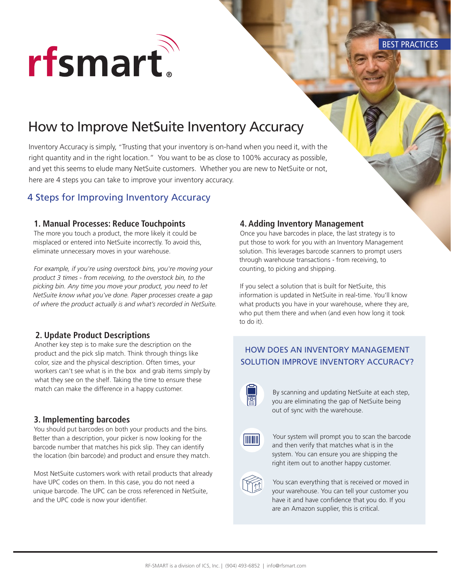

BEST PRACTICES

# How to Improve NetSuite Inventory Accuracy

Inventory Accuracy is simply, "Trusting that your inventory is on-hand when you need it, with the right quantity and in the right location." You want to be as close to 100% accuracy as possible, and yet this seems to elude many NetSuite customers. Whether you are new to NetSuite or not, here are 4 steps you can take to improve your inventory accuracy.

### 4 Steps for Improving Inventory Accuracy

### **1. Manual Processes: Reduce Touchpoints**

The more you touch a product, the more likely it could be misplaced or entered into NetSuite incorrectly. To avoid this, eliminate unnecessary moves in your warehouse.

*For example, if you're using overstock bins, you're moving your product 3 times - from receiving, to the overstock bin, to the picking bin. Any time you move your product, you need to let NetSuite know what you've done. Paper processes create a gap of where the product actually is and what's recorded in NetSuite.*

### **2. Update Product Descriptions**

Another key step is to make sure the description on the product and the pick slip match. Think through things like color, size and the physical description. Often times, your workers can't see what is in the box and grab items simply by what they see on the shelf. Taking the time to ensure these match can make the difference in a happy customer.

### **3. Implementing barcodes**

You should put barcodes on both your products and the bins. Better than a description, your picker is now looking for the barcode number that matches his pick slip. They can identify the location (bin barcode) and product and ensure they match.

Most NetSuite customers work with retail products that already have UPC codes on them. In this case, you do not need a unique barcode. The UPC can be cross referenced in NetSuite, and the UPC code is now your identifier.

### **4. Adding Inventory Management**

Once you have barcodes in place, the last strategy is to put those to work for you with an Inventory Management solution. This leverages barcode scanners to prompt users through warehouse transactions - from receiving, to counting, to picking and shipping.

If you select a solution that is built for NetSuite, this information is updated in NetSuite in real-time. You'll know what products you have in your warehouse, where they are, who put them there and when (and even how long it took to do it).

## HOW DOES AN INVENTORY MANAGEMENT SOLUTION IMPROVE INVENTORY ACCURACY?



By scanning and updating NetSuite at each step, you are eliminating the gap of NetSuite being out of sync with the warehouse.



Your system will prompt you to scan the barcode and then verify that matches what is in the system. You can ensure you are shipping the right item out to another happy customer.



You scan everything that is received or moved in your warehouse. You can tell your customer you have it and have confidence that you do. If you are an Amazon supplier, this is critical.